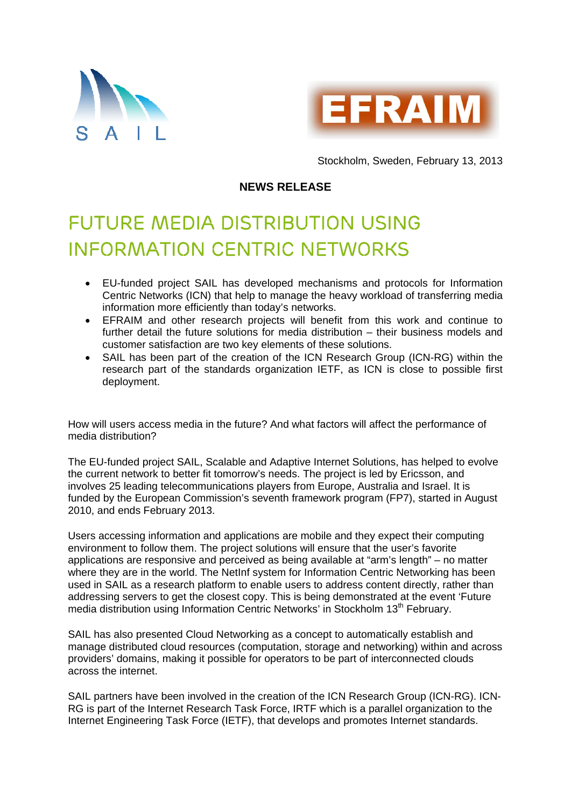



Stockholm, Sweden, February 13, 2013

## **NEWS RELEASE**

## *FUTURE MEDIA DISTRIBUTION USING INFORMATION CENTRIC NETWORKS*

- EU-funded project SAIL has developed mechanisms and protocols for Information Centric Networks (ICN) that help to manage the heavy workload of transferring media information more efficiently than today's networks.
- EFRAIM and other research projects will benefit from this work and continue to further detail the future solutions for media distribution – their business models and customer satisfaction are two key elements of these solutions.
- SAIL has been part of the creation of the ICN Research Group (ICN-RG) within the research part of the standards organization IETF, as ICN is close to possible first deployment.

How will users access media in the future? And what factors will affect the performance of media distribution?

The EU-funded project SAIL, Scalable and Adaptive Internet Solutions, has helped to evolve the current network to better fit tomorrow's needs. The project is led by Ericsson, and involves 25 leading telecommunications players from Europe, Australia and Israel. It is funded by the European Commission's seventh framework program (FP7), started in August 2010, and ends February 2013.

Users accessing information and applications are mobile and they expect their computing environment to follow them. The project solutions will ensure that the user's favorite applications are responsive and perceived as being available at "arm's length" – no matter where they are in the world. The NetInf system for Information Centric Networking has been used in SAIL as a research platform to enable users to address content directly, rather than addressing servers to get the closest copy. This is being demonstrated at the event 'Future media distribution using Information Centric Networks' in Stockholm 13<sup>th</sup> February.

SAIL has also presented Cloud Networking as a concept to automatically establish and manage distributed cloud resources (computation, storage and networking) within and across providers' domains, making it possible for operators to be part of interconnected clouds across the internet.

SAIL partners have been involved in the creation of the ICN Research Group (ICN-RG). ICN-RG is part of the Internet Research Task Force, IRTF which is a parallel organization to the Internet Engineering Task Force (IETF), that develops and promotes Internet standards.